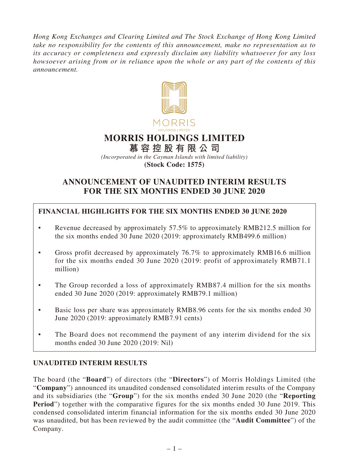*Hong Kong Exchanges and Clearing Limited and The Stock Exchange of Hong Kong Limited take no responsibility for the contents of this announcement, make no representation as to its accuracy or completeness and expressly disclaim any liability whatsoever for any loss howsoever arising from or in reliance upon the whole or any part of the contents of this announcement.*



# **MORRIS HOLDINGS LIMITED**

**慕容控股有限公司** *(Incorporated in the Cayman Islands with limited liability)* **(Stock Code: 1575)**

# **ANNOUNCEMENT OF UNAUDITED INTERIM RESULTS FOR THE SIX MONTHS ENDED 30 JUNE 2020**

# **FINANCIAL HIGHLIGHTS FOR THE SIX MONTHS ENDED 30 JUNE 2020**

- Revenue decreased by approximately 57.5% to approximately RMB212.5 million for the six months ended 30 June 2020 (2019: approximately RMB499.6 million)
- Gross profit decreased by approximately 76.7% to approximately RMB16.6 million for the six months ended 30 June 2020 (2019: profit of approximately RMB71.1 million)
- The Group recorded a loss of approximately RMB87.4 million for the six months ended 30 June 2020 (2019: approximately RMB79.1 million)
- Basic loss per share was approximately RMB8.96 cents for the six months ended 30 June 2020 (2019: approximately RMB7.91 cents)
- The Board does not recommend the payment of any interim dividend for the six months ended 30 June 2020 (2019: Nil)

# **UNAUDITED INTERIM RESULTS**

The board (the "**Board**") of directors (the "**Directors**") of Morris Holdings Limited (the "**Company**") announced its unaudited condensed consolidated interim results of the Company and its subsidiaries (the "**Group**") for the six months ended 30 June 2020 (the "**Reporting Period**") together with the comparative figures for the six months ended 30 June 2019. This condensed consolidated interim financial information for the six months ended 30 June 2020 was unaudited, but has been reviewed by the audit committee (the "**Audit Committee**") of the Company.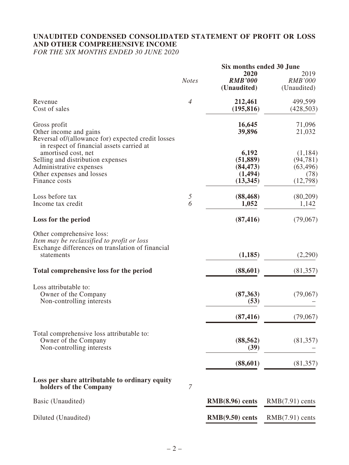# **UNAUDITED CONDENSED CONSOLIDATED STATEMENT OF PROFIT OR LOSS AND OTHER COMPREHENSIVE INCOME**

*FOR THE SIX MONTHS ENDED 30 JUNE 2020*

|                                                                                                                                           |                | Six months ended 30 June                    |                                           |
|-------------------------------------------------------------------------------------------------------------------------------------------|----------------|---------------------------------------------|-------------------------------------------|
|                                                                                                                                           | <b>Notes</b>   | 2020<br><b>RMB'000</b><br>(Unaudited)       | 2019<br><b>RMB'000</b><br>(Unaudited)     |
| Revenue<br>Cost of sales                                                                                                                  | $\overline{4}$ | 212,461<br>(195, 816)                       | 499,599<br>(428, 503)                     |
| Gross profit<br>Other income and gains<br>Reversal of/(allowance for) expected credit losses<br>in respect of financial assets carried at |                | 16,645<br>39,896                            | 71,096<br>21,032                          |
| amortised cost, net<br>Selling and distribution expenses<br>Administrative expenses<br>Other expenses and losses                          |                | 6,192<br>(51, 889)<br>(84, 473)<br>(1, 494) | (1,184)<br>(94, 781)<br>(63, 496)<br>(78) |
| Finance costs                                                                                                                             |                | (13, 345)                                   | (12,798)                                  |
| Loss before tax<br>Income tax credit                                                                                                      | 5<br>6         | (88, 468)<br>1,052                          | (80,209)<br>1,142                         |
| Loss for the period                                                                                                                       |                | (87, 416)                                   | (79,067)                                  |
| Other comprehensive loss:<br>Item may be reclassified to profit or loss<br>Exchange differences on translation of financial<br>statements |                | (1, 185)                                    | (2,290)                                   |
| Total comprehensive loss for the period                                                                                                   |                | (88, 601)                                   | (81, 357)                                 |
| Loss attributable to:<br>Owner of the Company<br>Non-controlling interests                                                                |                | (87, 363)<br>(53)                           | (79,067)                                  |
|                                                                                                                                           |                | (87, 416)                                   | (79,067)                                  |
| Total comprehensive loss attributable to:<br>Owner of the Company<br>Non-controlling interests                                            |                | (88, 562)<br>(39)                           | (81, 357)                                 |
|                                                                                                                                           |                | (88,601)                                    | (81,357)                                  |
| Loss per share attributable to ordinary equity<br>holders of the Company                                                                  | $\overline{7}$ |                                             |                                           |
| Basic (Unaudited)                                                                                                                         |                | $RMB(8.96)$ cents                           | $RMB(7.91)$ cents                         |
| Diluted (Unaudited)                                                                                                                       |                | $RMB(9.50)$ cents                           | $RMB(7.91)$ cents                         |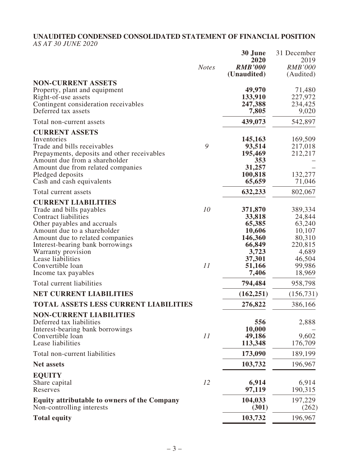# **UNAUDITED CONDENSED CONSOLIDATED STATEMENT OF FINANCIAL POSITION**

*AS AT 30 JUNE 2020*

|                                                                                                                                                                                                                                                                                                                  | <b>Notes</b> | 30 June<br>2020<br><b>RMB'000</b><br>(Unaudited)                                                 | 31 December<br>2019<br><b>RMB'000</b><br>(Audited)                                                |
|------------------------------------------------------------------------------------------------------------------------------------------------------------------------------------------------------------------------------------------------------------------------------------------------------------------|--------------|--------------------------------------------------------------------------------------------------|---------------------------------------------------------------------------------------------------|
| <b>NON-CURRENT ASSETS</b><br>Property, plant and equipment<br>Right-of-use assets<br>Contingent consideration receivables<br>Deferred tax assets                                                                                                                                                                 |              | 49,970<br>133,910<br>247,388<br>7,805                                                            | 71,480<br>227,972<br>234,425<br>9,020                                                             |
| Total non-current assets                                                                                                                                                                                                                                                                                         |              | 439,073                                                                                          | 542,897                                                                                           |
| <b>CURRENT ASSETS</b><br>Inventories<br>Trade and bills receivables<br>Prepayments, deposits and other receivables<br>Amount due from a shareholder<br>Amount due from related companies<br>Pledged deposits<br>Cash and cash equivalents                                                                        | 9            | 145,163<br>93,514<br>195,469<br>353<br>31,257<br>100,818<br>65,659                               | 169,509<br>217,018<br>212,217<br>132,277<br>71,046                                                |
| Total current assets                                                                                                                                                                                                                                                                                             |              | 632,233                                                                                          | 802,067                                                                                           |
| <b>CURRENT LIABILITIES</b><br>Trade and bills payables<br><b>Contract liabilities</b><br>Other payables and accruals<br>Amount due to a shareholder<br>Amount due to related companies<br>Interest-bearing bank borrowings<br>Warranty provision<br>Lease liabilities<br>Convertible loan<br>Income tax payables | 10<br>11     | 371,870<br>33,818<br>65,385<br>10,606<br>146,360<br>66,849<br>3,723<br>37,301<br>51,166<br>7,406 | 389,334<br>24,844<br>63,240<br>10,107<br>80,310<br>220,815<br>4,689<br>46,504<br>99,986<br>18,969 |
| Total current liabilities                                                                                                                                                                                                                                                                                        |              | 794,484                                                                                          | 958,798                                                                                           |
| <b>NET CURRENT LIABILITIES</b>                                                                                                                                                                                                                                                                                   |              | (162, 251)                                                                                       | (156, 731)                                                                                        |
| <b>TOTAL ASSETS LESS CURRENT LIABILITIES</b>                                                                                                                                                                                                                                                                     |              | 276,822                                                                                          | 386,166                                                                                           |
| <b>NON-CURRENT LIABILITIES</b><br>Deferred tax liabilities<br>Interest-bearing bank borrowings<br>Convertible loan<br>Lease liabilities                                                                                                                                                                          | 11           | 556<br>10,000<br>49,186<br>113,348                                                               | 2,888<br>9,602<br>176,709                                                                         |
| Total non-current liabilities                                                                                                                                                                                                                                                                                    |              | 173,090                                                                                          | 189,199                                                                                           |
| <b>Net assets</b>                                                                                                                                                                                                                                                                                                |              | 103,732                                                                                          | 196,967                                                                                           |
| <b>EQUITY</b><br>Share capital<br>Reserves                                                                                                                                                                                                                                                                       | 12           | 6,914<br>97,119                                                                                  | 6,914<br>190,315                                                                                  |
| <b>Equity attributable to owners of the Company</b><br>Non-controlling interests                                                                                                                                                                                                                                 |              | 104,033<br>(301)                                                                                 | 197,229<br>(262)                                                                                  |
| <b>Total equity</b>                                                                                                                                                                                                                                                                                              |              | 103,732                                                                                          | 196,967                                                                                           |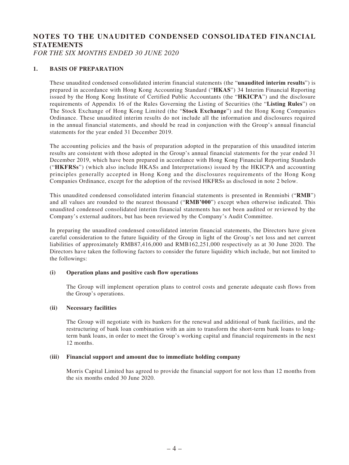# **NOTES TO THE UNAUDITED CONDENSED CONSOLIDATED FINANCIAL STATEMENTS**

*FOR THE SIX MONTHS ENDED 30 JUNE 2020*

### **1. BASIS OF PREPARATION**

These unaudited condensed consolidated interim financial statements (the "**unaudited interim results**") is prepared in accordance with Hong Kong Accounting Standard ("**HKAS**") 34 Interim Financial Reporting issued by the Hong Kong Institute of Certified Public Accountants (the "**HKICPA**") and the disclosure requirements of Appendix 16 of the Rules Governing the Listing of Securities (the "**Listing Rules**") on The Stock Exchange of Hong Kong Limited (the "**Stock Exchange**") and the Hong Kong Companies Ordinance. These unaudited interim results do not include all the information and disclosures required in the annual financial statements, and should be read in conjunction with the Group's annual financial statements for the year ended 31 December 2019.

The accounting policies and the basis of preparation adopted in the preparation of this unaudited interim results are consistent with those adopted in the Group's annual financial statements for the year ended 31 December 2019, which have been prepared in accordance with Hong Kong Financial Reporting Standards ("**HKFRSs**") (which also include HKASs and Interpretations) issued by the HKICPA and accounting principles generally accepted in Hong Kong and the disclosures requirements of the Hong Kong Companies Ordinance, except for the adoption of the revised HKFRSs as disclosed in note 2 below.

This unaudited condensed consolidated interim financial statements is presented in Renminbi ("**RMB**") and all values are rounded to the nearest thousand ("**RMB'000**") except when otherwise indicated. This unaudited condensed consolidated interim financial statements has not been audited or reviewed by the Company's external auditors, but has been reviewed by the Company's Audit Committee.

In preparing the unaudited condensed consolidated interim financial statements, the Directors have given careful consideration to the future liquidity of the Group in light of the Group's net loss and net current liabilities of approximately RMB87,416,000 and RMB162,251,000 respectively as at 30 June 2020. The Directors have taken the following factors to consider the future liquidity which include, but not limited to the followings:

#### **(i) Operation plans and positive cash flow operations**

The Group will implement operation plans to control costs and generate adequate cash flows from the Group's operations.

#### **(ii) Necessary facilities**

The Group will negotiate with its bankers for the renewal and additional of bank facilities, and the restructuring of bank loan combination with an aim to transform the short-term bank loans to longterm bank loans, in order to meet the Group's working capital and financial requirements in the next 12 months.

#### **(iii) Financial support and amount due to immediate holding company**

Morris Capital Limited has agreed to provide the financial support for not less than 12 months from the six months ended 30 June 2020.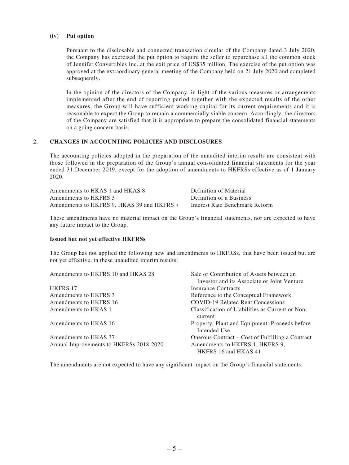#### **(iv) Put option**

Pursuant to the disclosable and connected transaction circular of the Company dated 3 July 2020, the Company has exercised the put option to require the seller to repurchase all the common stock of Jennifer Convertibles Inc. at the exit price of US\$35 million. The exercise of the put option was approved at the extraordinary general meeting of the Company held on 21 July 2020 and completed subsequently.

In the opinion of the directors of the Company, in light of the various measures or arrangements implemented after the end of reporting period together with the expected results of the other measures, the Group will have sufficient working capital for its current requirements and it is reasonable to expect the Group to remain a commercially viable concern. Accordingly, the directors of the Company are satisfied that it is appropriate to prepare the consolidated financial statements on a going concern basis.

### **2. CHANGES IN ACCOUNTING POLICIES AND DISCLOSURES**

The accounting policies adopted in the preparation of the unaudited interim results are consistent with those followed in the preparation of the Group's annual consolidated financial statements for the year ended 31 December 2019, except for the adoption of amendments to HKFRSs effective as of 1 January 2020.

| Amendments to HKAS 1 and HKAS 8            | Definition of Material         |
|--------------------------------------------|--------------------------------|
| Amendments to HKFRS 3                      | Definition of a Business       |
| Amendments to HKFRS 9, HKAS 39 and HKFRS 7 | Interest Rate Benchmark Reform |

These amendments have no material impact on the Group's financial statements, nor are expected to have any future impact to the Group.

#### **Issued but not yet effective HKFRSs**

The Group has not applied the following new and amendments to HKFRSs, that have been issued but are not yet effective, in these unaudited interim results:

| Amendments to HKFRS 10 and HKAS 28      | Sale or Contribution of Assets between an                      |
|-----------------------------------------|----------------------------------------------------------------|
|                                         | Investor and its Associate or Joint Venture                    |
| <b>HKFRS 17</b>                         | Insurance Contracts                                            |
| Amendments to HKFRS 3                   | Reference to the Conceptual Framework                          |
| Amendments to HKFRS 16                  | <b>COVID-19 Related Rent Concessions</b>                       |
| Amendments to HKAS 1                    | Classification of Liabilities as Current or Non-<br>current    |
| Amendments to HKAS 16                   | Property, Plant and Equipment: Proceeds before<br>Intended Use |
| Amendments to HKAS 37                   | Onerous Contract – Cost of Fulfilling a Contract               |
| Annual Improvements to HKFRSs 2018-2020 | Amendments to HKFRS 1, HKFRS 9,                                |
|                                         | HKFRS 16 and HKAS 41                                           |

The amendments are not expected to have any significant impact on the Group's financial statements.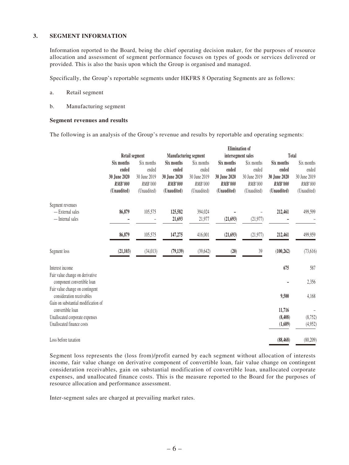#### **3. SEGMENT INFORMATION**

Information reported to the Board, being the chief operating decision maker, for the purposes of resource allocation and assessment of segment performance focuses on types of goods or services delivered or provided. This is also the basis upon which the Group is organised and managed.

Specifically, the Group's reportable segments under HKFRS 8 Operating Segments are as follows:

- a. Retail segment
- b. Manufacturing segment

#### **Segment revenues and results**

The following is an analysis of the Group's revenue and results by reportable and operating segments:

|                                                               |                |                       |                              |                |                    | <b>Elimination of</b> |                |              |
|---------------------------------------------------------------|----------------|-----------------------|------------------------------|----------------|--------------------|-----------------------|----------------|--------------|
|                                                               |                | <b>Retail segment</b> | <b>Manufacturing segment</b> |                | intersegment sales |                       | Total          |              |
|                                                               | Six months     | Six months            | Six months                   | Six months     | Six months         | Six months            | Six months     | Six months   |
|                                                               | ended          | ended                 | ended                        | ended          | ended              | ended                 | ended          | ended        |
|                                                               | 30 June 2020   | 30 June 2019          | 30 June 2020                 | 30 June 2019   | 30 June 2020       | 30 June 2019          | 30 June 2020   | 30 June 2019 |
|                                                               | <b>RMB'000</b> | RMB'000               | <b>RMB'000</b>               | <b>RMB'000</b> | <b>RMB'000</b>     | RMB'000               | <b>RMB'000</b> | RMB'000      |
|                                                               | (Unaudited)    | (Unaudited)           | (Unaudited)                  | (Unaudited)    | (Unaudited)        | (Unaudited)           | (Unaudited)    | (Unaudited)  |
| Segment revenues                                              |                |                       |                              |                |                    |                       |                |              |
| - External sales                                              | 86,879         | 105,575               | 125,582                      | 394,024        |                    |                       | 212,461        | 499,599      |
| - Internal sales                                              |                |                       | 21,693                       | 21,977         | (21, 693)          | (21, 977)             |                |              |
|                                                               | 86,879         | 105,575               | 147,275                      | 416,001        | (21, 693)          | (21, 977)             | 212,461        | 499,959      |
| Segment loss                                                  | (21, 103)      | (34, 013)             | (79, 139)                    | (39, 642)      | (20)               | 39                    | (100, 262)     | (73, 616)    |
| Interest income                                               |                |                       |                              |                |                    |                       | 675            | 587          |
| Fair value change on derivative<br>component convertible loan |                |                       |                              |                |                    |                       |                | 2,356        |
| Fair value change on contingent<br>consideration receivables  |                |                       |                              |                |                    |                       | 9,500          | 4,168        |
| Gain on substantial modification of<br>convertible loan       |                |                       |                              |                |                    |                       | 11,716         |              |
| Unallocated corporate expenses                                |                |                       |                              |                |                    |                       | (8, 408)       | (8,752)      |
| Unallocated finance costs                                     |                |                       |                              |                |                    |                       | (1,689)        | (4,952)      |
| Loss before taxation                                          |                |                       |                              |                |                    |                       | (88, 468)      | (80, 209)    |

Segment loss represents the (loss from)/profit earned by each segment without allocation of interests income, fair value change on derivative component of convertible loan, fair value change on contingent consideration receivables, gain on substantial modification of convertible loan, unallocated corporate expenses, and unallocated finance costs. This is the measure reported to the Board for the purposes of resource allocation and performance assessment.

Inter-segment sales are charged at prevailing market rates.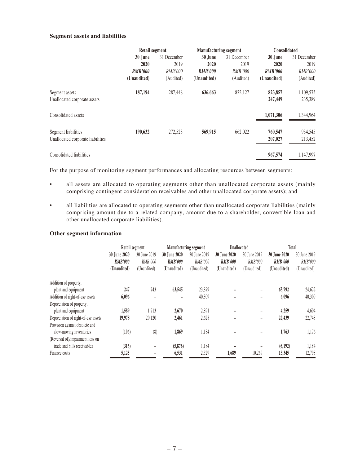#### **Segment assets and liabilities**

|                                   | Retail segment |                | <b>Manufacturing segment</b> |                | Consolidated   |                |  |
|-----------------------------------|----------------|----------------|------------------------------|----------------|----------------|----------------|--|
|                                   | 30 June        | 31 December    | 30 June                      | 31 December    | 30 June        | 31 December    |  |
|                                   | 2020           | 2019           | 2020                         | 2019           | 2020           | 2019           |  |
|                                   | <b>RMB'000</b> | <b>RMB'000</b> | <b>RMB'000</b>               | <b>RMB'000</b> | <b>RMB'000</b> | <b>RMB'000</b> |  |
|                                   | (Unaudited)    | (Audited)      | (Unaudited)                  | (Audited)      | (Unaudited)    | (Audited)      |  |
| Segment assets                    | 187,194        | 287,448        | 636,663                      | 822.127        | 823,857        | 1,109,575      |  |
| Unallocated corporate assets      |                |                |                              |                | 247,449        | 235,389        |  |
| Consolidated assets               |                |                |                              |                | 1,071,306      | 1,344,964      |  |
| Segment liabilities               | 190,632        | 272,523        | 569,915                      | 662,022        | 760,547        | 934,545        |  |
| Unallocated corporate liabilities |                |                |                              |                | 207,027        | 213,452        |  |
| Consolidated liabilities          |                |                |                              |                | 967,574        | 1,147,997      |  |

For the purpose of monitoring segment performances and allocating resources between segments:

- all assets are allocated to operating segments other than unallocated corporate assets (mainly comprising contingent consideration receivables and other unallocated corporate assets); and
- all liabilities are allocated to operating segments other than unallocated corporate liabilities (mainly comprising amount due to a related company, amount due to a shareholder, convertible loan and other unallocated corporate liabilities).

#### **Other segment information**

|                                     | Retail segment                                |                                        | <b>Manufacturing segment</b>                  |                                        | <b>Unallocated</b>                            |                                        | Total                                         |                                        |
|-------------------------------------|-----------------------------------------------|----------------------------------------|-----------------------------------------------|----------------------------------------|-----------------------------------------------|----------------------------------------|-----------------------------------------------|----------------------------------------|
|                                     | 30 June 2020<br><b>RMB'000</b><br>(Unaudited) | 30 June 2019<br>RMB'000<br>(Unaudited) | 30 June 2020<br><b>RMB'000</b><br>(Unaudited) | 30 June 2019<br>RMB'000<br>(Unaudited) | 30 June 2020<br><b>RMB'000</b><br>(Unaudited) | 30 June 2019<br>RMB'000<br>(Unaudited) | 30 June 2020<br><b>RMB'000</b><br>(Unaudited) | 30 June 2019<br>RMB'000<br>(Unaudited) |
| Addition of property,               |                                               |                                        |                                               |                                        |                                               |                                        |                                               |                                        |
| plant and equipment                 | 247                                           | 743                                    | 63,545                                        | 23,879                                 |                                               |                                        | 63,792                                        | 24,622                                 |
| Addition of right-of-use assets     | 6,096                                         | ۰                                      | -                                             | 40,309                                 |                                               | ۰                                      | 6,096                                         | 40,309                                 |
| Depreciation of property,           |                                               |                                        |                                               |                                        |                                               |                                        |                                               |                                        |
| plant and equipment                 | 1,589                                         | 1.713                                  | 2,670                                         | 2,891                                  |                                               | -                                      | 4.259                                         | 4,604                                  |
| Depreciation of right-of-use assets | 19,978                                        | 20,120                                 | 2,461                                         | 2,628                                  |                                               | -                                      | 22,439                                        | 22,748                                 |
| Provision against obsolete and      |                                               |                                        |                                               |                                        |                                               |                                        |                                               |                                        |
| slow-moving inventories             | (106)                                         | (8)                                    | 1,869                                         | 1,184                                  |                                               |                                        | 1,763                                         | 1,176                                  |
| (Reversal of)/impairment loss on    |                                               |                                        |                                               |                                        |                                               |                                        |                                               |                                        |
| trade and bills receivables         | (316)                                         |                                        | (5,876)                                       | 1,184                                  |                                               |                                        | (6,192)                                       | 1,184                                  |
| Finance costs                       | 5,125                                         |                                        | 6,531                                         | 2,529                                  | 1,689                                         | 10.269                                 | 13,345                                        | 12,798                                 |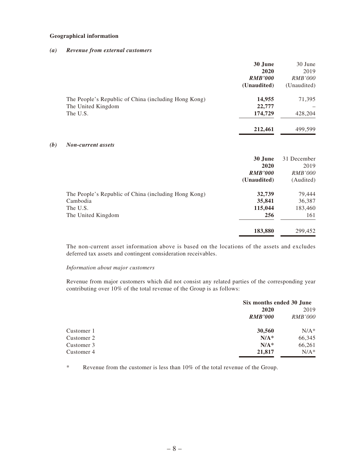#### **Geographical information**

#### *(a) Revenue from external customers*

|                                                      | 30 June        | 30 June        |
|------------------------------------------------------|----------------|----------------|
|                                                      | 2020           | 2019           |
|                                                      | <b>RMB'000</b> | <i>RMB'000</i> |
|                                                      | (Unaudited)    | (Unaudited)    |
| The People's Republic of China (including Hong Kong) | 14,955         | 71,395         |
| The United Kingdom                                   | 22,777         |                |
| The U.S.                                             | 174,729        | 428,204        |
|                                                      | 212,461        | 499,599        |

#### *(b) Non-current assets*

|                                                                                                    | 30 June<br>2020<br><b>RMB'000</b><br>(Unaudited) | 31 December<br>2019<br><i>RMB'000</i><br>(Audited) |
|----------------------------------------------------------------------------------------------------|--------------------------------------------------|----------------------------------------------------|
| The People's Republic of China (including Hong Kong)<br>Cambodia<br>The U.S.<br>The United Kingdom | 32,739<br>35,841<br>115,044<br>256               | 79,444<br>36,387<br>183,460<br>161                 |
|                                                                                                    | 183,880                                          | 299,452                                            |

The non-current asset information above is based on the locations of the assets and excludes deferred tax assets and contingent consideration receivables.

#### *Information about major customers*

Revenue from major customers which did not consist any related parties of the corresponding year contributing over 10% of the total revenue of the Group is as follows:

|            | Six months ended 30 June |                |  |
|------------|--------------------------|----------------|--|
|            | 2020                     | 2019           |  |
|            | <b>RMB'000</b>           | <i>RMB'000</i> |  |
| Customer 1 | 30,560                   | $N/A^*$        |  |
| Customer 2 | $N/A^*$                  | 66,345         |  |
| Customer 3 | $N/A^*$                  | 66,261         |  |
| Customer 4 | 21,817                   | $N/A^*$        |  |

\* Revenue from the customer is less than 10% of the total revenue of the Group.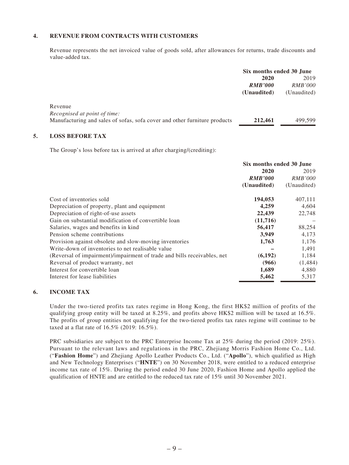### **4. REVENUE FROM CONTRACTS WITH CUSTOMERS**

Revenue represents the net invoiced value of goods sold, after allowances for returns, trade discounts and value-added tax.

|                                                                           | Six months ended 30 June |                |
|---------------------------------------------------------------------------|--------------------------|----------------|
|                                                                           | 2020                     | 2019           |
|                                                                           | <b>RMB'000</b>           | <i>RMB'000</i> |
|                                                                           | (Unaudited)              | (Unaudited)    |
| Revenue                                                                   |                          |                |
| Recognised at point of time:                                              |                          |                |
| Manufacturing and sales of sofas, sofa cover and other furniture products | 212,461                  | 499.599        |
|                                                                           |                          |                |

### **5. LOSS BEFORE TAX**

The Group's loss before tax is arrived at after charging/(crediting):

|                                                                         | Six months ended 30 June |                |  |
|-------------------------------------------------------------------------|--------------------------|----------------|--|
|                                                                         | 2020                     | 2019           |  |
|                                                                         | <b>RMB'000</b>           | <i>RMB'000</i> |  |
|                                                                         | (Unaudited)              | (Unaudited)    |  |
| Cost of inventories sold                                                | 194,053                  | 407,111        |  |
| Depreciation of property, plant and equipment                           | 4,259                    | 4,604          |  |
| Depreciation of right-of-use assets                                     | 22,439                   | 22,748         |  |
| Gain on substantial modification of convertible loan                    | (11,716)                 |                |  |
| Salaries, wages and benefits in kind                                    | 56,417                   | 88,254         |  |
| Pension scheme contributions                                            | 3,949                    | 4,173          |  |
| Provision against obsolete and slow-moving inventories                  | 1,763                    | 1,176          |  |
| Write-down of inventories to net realisable value                       |                          | 1,491          |  |
| (Reversal of impairment)/impairment of trade and bills receivables, net | (6, 192)                 | 1,184          |  |
| Reversal of product warranty, net                                       | (966)                    | (1, 484)       |  |
| Interest for convertible loan                                           | 1,689                    | 4,880          |  |
| Interest for lease liabilities                                          | 5,462                    | 5,317          |  |

#### **6. INCOME TAX**

Under the two-tiered profits tax rates regime in Hong Kong, the first HK\$2 million of profits of the qualifying group entity will be taxed at 8.25%, and profits above HK\$2 million will be taxed at 16.5%. The profits of group entities not qualifying for the two-tiered profits tax rates regime will continue to be taxed at a flat rate of 16.5% (2019: 16.5%).

PRC subsidiaries are subject to the PRC Enterprise Income Tax at 25% during the period (2019: 25%). Pursuant to the relevant laws and regulations in the PRC, Zhejiang Morris Fashion Home Co., Ltd. ("**Fashion Home**") and Zhejiang Apollo Leather Products Co., Ltd. ("**Apollo**"), which qualified as High and New Technology Enterprises ("**HNTE**") on 30 November 2018, were entitled to a reduced enterprise income tax rate of 15%. During the period ended 30 June 2020, Fashion Home and Apollo applied the qualification of HNTE and are entitled to the reduced tax rate of 15% until 30 November 2021.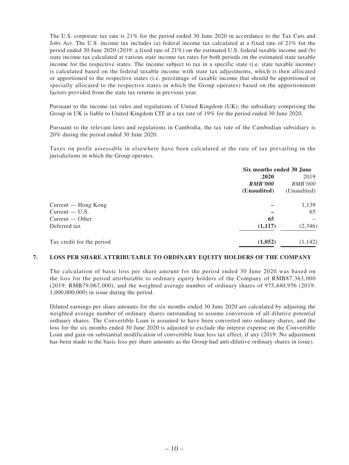The U.S. corporate tax rate is 21% for the period ended 30 June 2020 in accordance to the Tax Cuts and Jobs Act. The U.S. income tax includes (a) federal income tax calculated at a fixed rate of 21% for the period ended 30 June 2020 (2019: a fixed rate of 21%) on the estimated U.S. federal taxable income and (b) state income tax calculated at various state income tax rates for both periods on the estimated state taxable income for the respective states. The income subject to tax in a specific state (i.e. state taxable income) is calculated based on the federal taxable income with state tax adjustments, which is then allocated or apportioned to the respective states (i.e. percentage of taxable income that should be apportioned or specially allocated to the respective states in which the Group operates) based on the apportionment factors provided from the state tax returns in previous year.

Pursuant to the income tax rules and regulations of United Kingdom (UK), the subsidiary comprising the Group in UK is liable to United Kingdom CIT at a tax rate of 19% for the period ended 30 June 2020.

Pursuant to the relevant laws and regulations in Cambodia, the tax rate of the Cambodian subsidiary is 20% during the period ended 30 June 2020.

Taxes on profit assessable in elsewhere have been calculated at the rate of tax prevailing in the jurisdictions in which the Group operates.

|                           | Six months ended 30 June |                |
|---------------------------|--------------------------|----------------|
|                           | 2020                     | 2019           |
|                           | <b>RMB'000</b>           | <i>RMB'000</i> |
|                           | (Unaudited)              | (Unaudited)    |
| Current — Hong Kong       |                          | 1,139          |
| $Current - U.S.$          |                          | 65             |
| Current — Other           | 65                       |                |
| Deferred tax              | (1,117)                  | (2, 346)       |
| Tax credit for the period | (1,052)                  | (1, 142)       |

### **7. LOSS PER SHARE ATTRIBUTABLE TO ORDINARY EQUITY HOLDERS OF THE COMPANY**

The calculation of basic loss per share amount for the period ended 30 June 2020 was based on the loss for the period attributable to ordinary equity holders of the Company of RMB87,363,000 (2019: RMB79,067,000), and the weighted average number of ordinary shares of 975,440,956 (2019: 1,000,000,000) in issue during the period.

Diluted earnings per share amounts for the six months ended 30 June 2020 are calculated by adjusting the weighted average number of ordinary shares outstanding to assume conversion of all dilutive potential ordinary shares. The Convertible Loan is assumed to have been converted into ordinary shares, and the loss for the six months ended 30 June 2020 is adjusted to exclude the interest expense on the Convertible Loan and gain on substantial modification of convertible loan less tax effect, if any (2019: No adjustment has been made to the basic loss per share amounts as the Group had anti-dilutive ordinary shares in issue).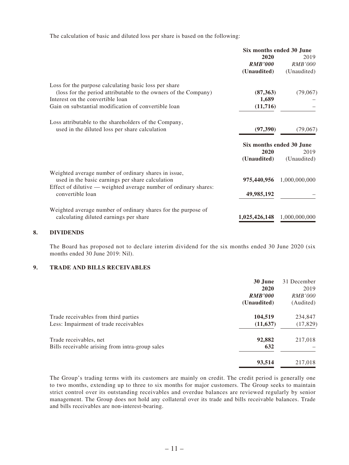The calculation of basic and diluted loss per share is based on the following:

|                                                                                      | Six months ended 30 June |                          |
|--------------------------------------------------------------------------------------|--------------------------|--------------------------|
|                                                                                      | 2020                     | 2019                     |
|                                                                                      | <b>RMB'000</b>           | <b>RMB'000</b>           |
|                                                                                      | (Unaudited)              | (Unaudited)              |
| Loss for the purpose calculating basic loss per share                                |                          |                          |
| (loss for the period attributable to the owners of the Company)                      | (87,363)                 | (79,067)                 |
| Interest on the convertible loan                                                     | 1,689                    |                          |
| Gain on substantial modification of convertible loan                                 | (11,716)                 |                          |
| Loss attributable to the shareholders of the Company,                                |                          |                          |
| used in the diluted loss per share calculation                                       | (97, 390)                | (79,067)                 |
|                                                                                      |                          | Six months ended 30 June |
|                                                                                      | 2020                     | 2019                     |
|                                                                                      | (Unaudited)              | (Unaudited)              |
| Weighted average number of ordinary shares in issue,                                 |                          |                          |
| used in the basic earnings per share calculation                                     | 975,440,956              | 1,000,000,000            |
| Effect of dilutive — weighted average number of ordinary shares:<br>convertible loan | 49,985,192               |                          |
|                                                                                      |                          |                          |
| Weighted average number of ordinary shares for the purpose of                        |                          |                          |
| calculating diluted earnings per share                                               | 1,025,426,148            | 1,000,000,000            |
|                                                                                      |                          |                          |

#### **8. DIVIDENDS**

The Board has proposed not to declare interim dividend for the six months ended 30 June 2020 (six months ended 30 June 2019: Nil).

### **9. TRADE AND BILLS RECEIVABLES**

|                                                 | 30 June        | 31 December    |
|-------------------------------------------------|----------------|----------------|
|                                                 | 2020           | 2019           |
|                                                 | <b>RMB'000</b> | <i>RMB'000</i> |
|                                                 | (Unaudited)    | (Audited)      |
| Trade receivables from third parties            | 104,519        | 234,847        |
| Less: Impairment of trade receivables           | (11, 637)      | (17, 829)      |
| Trade receivables, net                          | 92,882         | 217,018        |
| Bills receivable arising from intra-group sales | 632            |                |
|                                                 | 93,514         | 217,018        |

The Group's trading terms with its customers are mainly on credit. The credit period is generally one to two months, extending up to three to six months for major customers. The Group seeks to maintain strict control over its outstanding receivables and overdue balances are reviewed regularly by senior management. The Group does not hold any collateral over its trade and bills receivable balances. Trade and bills receivables are non-interest-bearing.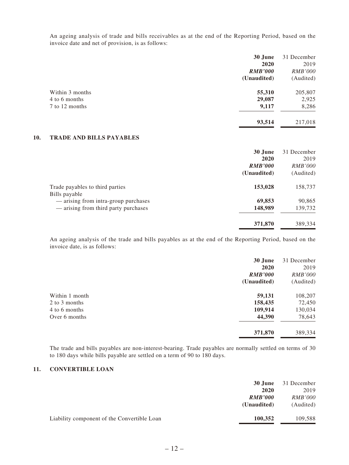An ageing analysis of trade and bills receivables as at the end of the Reporting Period, based on the invoice date and net of provision, is as follows:

|                 | 30 June        | 31 December    |
|-----------------|----------------|----------------|
|                 | 2020           | 2019           |
|                 | <b>RMB'000</b> | <i>RMB'000</i> |
|                 | (Unaudited)    | (Audited)      |
| Within 3 months | 55,310         | 205,807        |
| 4 to 6 months   | 29,087         | 2,925          |
| 7 to 12 months  | 9,117          | 8,286          |
|                 | 93,514         | 217,018        |

#### **10. TRADE AND BILLS PAYABLES**

|                                      | 30 June<br>31 December           |
|--------------------------------------|----------------------------------|
|                                      | 2020<br>2019                     |
|                                      | <b>RMB'000</b><br><i>RMB'000</i> |
| (Unaudited)                          | (Audited)                        |
| Trade payables to third parties      | 153,028<br>158,737               |
| Bills payable                        |                                  |
| - arising from intra-group purchases | 69,853<br>90,865                 |
| — arising from third party purchases | 148,989<br>139,732               |
|                                      | 371,870<br>389,334               |

An ageing analysis of the trade and bills payables as at the end of the Reporting Period, based on the invoice date, is as follows:

|                | 30 June        | 31 December    |
|----------------|----------------|----------------|
|                | 2020           | 2019           |
|                | <b>RMB'000</b> | <i>RMB'000</i> |
|                | (Unaudited)    | (Audited)      |
| Within 1 month | 59,131         | 108,207        |
| 2 to 3 months  | 158,435        | 72,450         |
| 4 to 6 months  | 109,914        | 130,034        |
| Over 6 months  | 44,390         | 78,643         |
|                | 371,870        | 389,334        |

The trade and bills payables are non-interest-bearing. Trade payables are normally settled on terms of 30 to 180 days while bills payable are settled on a term of 90 to 180 days.

### **11. CONVERTIBLE LOAN**

|                                             | 30 June        | 31 December    |
|---------------------------------------------|----------------|----------------|
|                                             | 2020           | 2019           |
|                                             | <b>RMB'000</b> | <i>RMB'000</i> |
|                                             | (Unaudited)    | (Audited)      |
| Liability component of the Convertible Loan | 100,352        | 109,588        |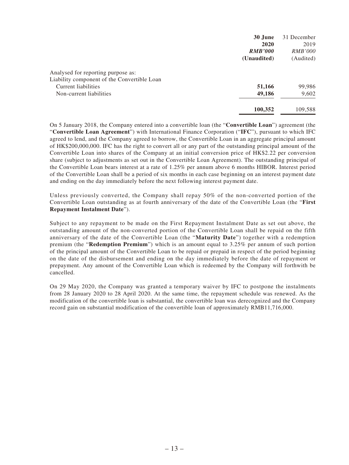|                                             | 30 June        | 31 December    |
|---------------------------------------------|----------------|----------------|
|                                             | 2020           | 2019           |
|                                             | <b>RMB'000</b> | <i>RMB'000</i> |
|                                             | (Unaudited)    | (Audited)      |
| Analysed for reporting purpose as:          |                |                |
| Liability component of the Convertible Loan |                |                |
| Current liabilities                         | 51,166         | 99,986         |
| Non-current liabilities                     | 49,186         | 9,602          |
|                                             | 100,352        | 109,588        |

On 5 January 2018, the Company entered into a convertible loan (the "**Convertible Loan**") agreement (the "**Convertible Loan Agreement**") with International Finance Corporation ("**IFC**"), pursuant to which IFC agreed to lend, and the Company agreed to borrow, the Convertible Loan in an aggregate principal amount of HK\$200,000,000. IFC has the right to convert all or any part of the outstanding principal amount of the Convertible Loan into shares of the Company at an initial conversion price of HK\$2.22 per conversion share (subject to adjustments as set out in the Convertible Loan Agreement). The outstanding principal of the Convertible Loan bears interest at a rate of 1.25% per annum above 6 months HIBOR. Interest period of the Convertible Loan shall be a period of six months in each case beginning on an interest payment date and ending on the day immediately before the next following interest payment date.

Unless previously converted, the Company shall repay 50% of the non-converted portion of the Convertible Loan outstanding as at fourth anniversary of the date of the Convertible Loan (the "**First Repayment Instalment Date**").

Subject to any repayment to be made on the First Repayment Instalment Date as set out above, the outstanding amount of the non-converted portion of the Convertible Loan shall be repaid on the fifth anniversary of the date of the Convertible Loan (the "**Maturity Date**") together with a redemption premium (the "**Redemption Premium**") which is an amount equal to 3.25% per annum of such portion of the principal amount of the Convertible Loan to be repaid or prepaid in respect of the period beginning on the date of the disbursement and ending on the day immediately before the date of repayment or prepayment. Any amount of the Convertible Loan which is redeemed by the Company will forthwith be cancelled.

On 29 May 2020, the Company was granted a temporary waiver by IFC to postpone the instalments from 28 January 2020 to 28 April 2020. At the same time, the repayment schedule was renewed. As the modification of the convertible loan is substantial, the convertible loan was derecognized and the Company record gain on substantial modification of the convertible loan of approximately RMB11,716,000.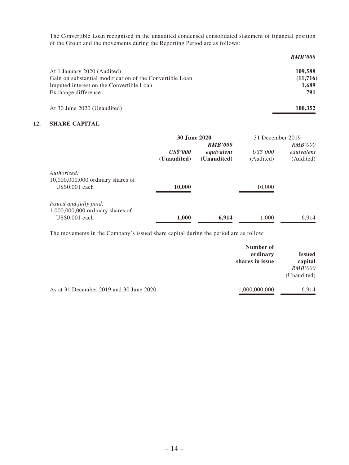The Convertible Loan recognised in the unaudited condensed consolidated statement of financial position of the Group and the movements during the Reporting Period are as follows:

|                                                          | <b>RMB'000</b> |
|----------------------------------------------------------|----------------|
| At 1 January 2020 (Audited)                              | 109,588        |
| Gain on substantial modification of the Convertible Loan | (11,716)       |
| Imputed interest on the Convertible Loan                 | 1,689          |
| Exchange difference                                      | 791            |
| At 30 June 2020 (Unaudited)                              | 100.352        |

### **12. SHARE CAPITAL**

|                                     | 30 June 2020    |                              | 31 December 2019 |                              |
|-------------------------------------|-----------------|------------------------------|------------------|------------------------------|
|                                     | <b>US\$'000</b> | <b>RMB'000</b><br>equivalent | <i>US\$'000</i>  | <i>RMB'000</i><br>equivalent |
|                                     | (Unaudited)     | (Unaudited)                  | (Audited)        | (Audited)                    |
| Authorised:                         |                 |                              |                  |                              |
| $10,000,000,000$ ordinary shares of |                 |                              |                  |                              |
| US\$0.001 each                      | 10,000          |                              | 10,000           |                              |
| <i>Issued and fully paid:</i>       |                 |                              |                  |                              |
| $1,000,000,000$ ordinary shares of  |                 |                              |                  |                              |
| US\$0.001 each                      | 1,000           | 6,914                        | 1,000            | 6.914                        |

The movements in the Company's issued share capital during the period are as follow:

|                                         | Number of<br>ordinary<br>shares in issue | <b>Issued</b><br>capital<br><i>RMB'000</i><br>(Unaudited) |
|-----------------------------------------|------------------------------------------|-----------------------------------------------------------|
| As at 31 December 2019 and 30 June 2020 | 1,000,000,000                            | 6.914                                                     |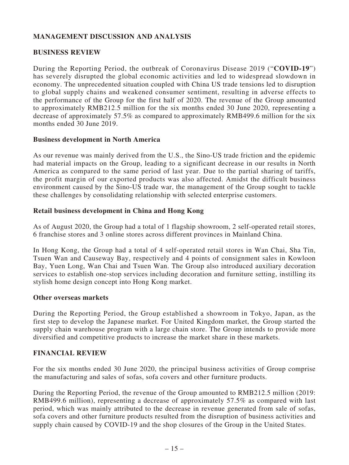# **MANAGEMENT DISCUSSION AND ANALYSIS**

## **BUSINESS REVIEW**

During the Reporting Period, the outbreak of Coronavirus Disease 2019 ("**COVID-19**") has severely disrupted the global economic activities and led to widespread slowdown in economy. The unprecedented situation coupled with China US trade tensions led to disruption to global supply chains and weakened consumer sentiment, resulting in adverse effects to the performance of the Group for the first half of 2020. The revenue of the Group amounted to approximately RMB212.5 million for the six months ended 30 June 2020, representing a decrease of approximately 57.5% as compared to approximately RMB499.6 million for the six months ended 30 June 2019.

### **Business development in North America**

As our revenue was mainly derived from the U.S., the Sino-US trade friction and the epidemic had material impacts on the Group, leading to a significant decrease in our results in North America as compared to the same period of last year. Due to the partial sharing of tariffs, the profit margin of our exported products was also affected. Amidst the difficult business environment caused by the Sino-US trade war, the management of the Group sought to tackle these challenges by consolidating relationship with selected enterprise customers.

### **Retail business development in China and Hong Kong**

As of August 2020, the Group had a total of 1 flagship showroom, 2 self-operated retail stores, 6 franchise stores and 3 online stores across different provinces in Mainland China.

In Hong Kong, the Group had a total of 4 self-operated retail stores in Wan Chai, Sha Tin, Tsuen Wan and Causeway Bay, respectively and 4 points of consignment sales in Kowloon Bay, Yuen Long, Wan Chai and Tsuen Wan. The Group also introduced auxiliary decoration services to establish one-stop services including decoration and furniture setting, instilling its stylish home design concept into Hong Kong market.

### **Other overseas markets**

During the Reporting Period, the Group established a showroom in Tokyo, Japan, as the first step to develop the Japanese market. For United Kingdom market, the Group started the supply chain warehouse program with a large chain store. The Group intends to provide more diversified and competitive products to increase the market share in these markets.

### **FINANCIAL REVIEW**

For the six months ended 30 June 2020, the principal business activities of Group comprise the manufacturing and sales of sofas, sofa covers and other furniture products.

During the Reporting Period, the revenue of the Group amounted to RMB212.5 million (2019: RMB499.6 million), representing a decrease of approximately 57.5% as compared with last period, which was mainly attributed to the decrease in revenue generated from sale of sofas, sofa covers and other furniture products resulted from the disruption of business activities and supply chain caused by COVID-19 and the shop closures of the Group in the United States.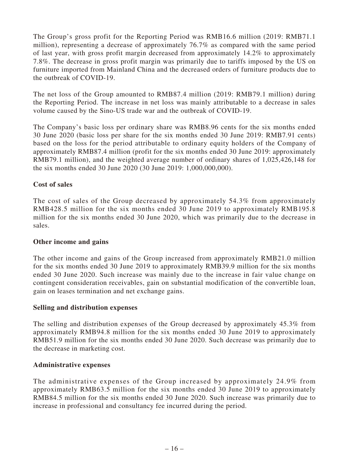The Group's gross profit for the Reporting Period was RMB16.6 million (2019: RMB71.1 million), representing a decrease of approximately 76.7% as compared with the same period of last year, with gross profit margin decreased from approximately 14.2% to approximately 7.8%. The decrease in gross profit margin was primarily due to tariffs imposed by the US on furniture imported from Mainland China and the decreased orders of furniture products due to the outbreak of COVID-19.

The net loss of the Group amounted to RMB87.4 million (2019: RMB79.1 million) during the Reporting Period. The increase in net loss was mainly attributable to a decrease in sales volume caused by the Sino-US trade war and the outbreak of COVID-19.

The Company's basic loss per ordinary share was RMB8.96 cents for the six months ended 30 June 2020 (basic loss per share for the six months ended 30 June 2019: RMB7.91 cents) based on the loss for the period attributable to ordinary equity holders of the Company of approximately RMB87.4 million (profit for the six months ended 30 June 2019: approximately RMB79.1 million), and the weighted average number of ordinary shares of 1,025,426,148 for the six months ended 30 June 2020 (30 June 2019: 1,000,000,000).

# **Cost of sales**

The cost of sales of the Group decreased by approximately 54.3% from approximately RMB428.5 million for the six months ended 30 June 2019 to approximately RMB195.8 million for the six months ended 30 June 2020, which was primarily due to the decrease in sales.

# **Other income and gains**

The other income and gains of the Group increased from approximately RMB21.0 million for the six months ended 30 June 2019 to approximately RMB39.9 million for the six months ended 30 June 2020. Such increase was mainly due to the increase in fair value change on contingent consideration receivables, gain on substantial modification of the convertible loan, gain on leases termination and net exchange gains.

# **Selling and distribution expenses**

The selling and distribution expenses of the Group decreased by approximately 45.3% from approximately RMB94.8 million for the six months ended 30 June 2019 to approximately RMB51.9 million for the six months ended 30 June 2020. Such decrease was primarily due to the decrease in marketing cost.

# **Administrative expenses**

The administrative expenses of the Group increased by approximately 24.9% from approximately RMB63.5 million for the six months ended 30 June 2019 to approximately RMB84.5 million for the six months ended 30 June 2020. Such increase was primarily due to increase in professional and consultancy fee incurred during the period.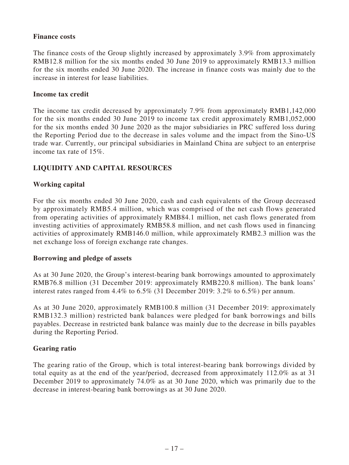## **Finance costs**

The finance costs of the Group slightly increased by approximately 3.9% from approximately RMB12.8 million for the six months ended 30 June 2019 to approximately RMB13.3 million for the six months ended 30 June 2020. The increase in finance costs was mainly due to the increase in interest for lease liabilities.

### **Income tax credit**

The income tax credit decreased by approximately 7.9% from approximately RMB1,142,000 for the six months ended 30 June 2019 to income tax credit approximately RMB1,052,000 for the six months ended 30 June 2020 as the major subsidiaries in PRC suffered loss during the Reporting Period due to the decrease in sales volume and the impact from the Sino-US trade war. Currently, our principal subsidiaries in Mainland China are subject to an enterprise income tax rate of 15%.

# **LIQUIDITY AND CAPITAL RESOURCES**

# **Working capital**

For the six months ended 30 June 2020, cash and cash equivalents of the Group decreased by approximately RMB5.4 million, which was comprised of the net cash flows generated from operating activities of approximately RMB84.1 million, net cash flows generated from investing activities of approximately RMB58.8 million, and net cash flows used in financing activities of approximately RMB146.0 million, while approximately RMB2.3 million was the net exchange loss of foreign exchange rate changes.

### **Borrowing and pledge of assets**

As at 30 June 2020, the Group's interest-bearing bank borrowings amounted to approximately RMB76.8 million (31 December 2019: approximately RMB220.8 million). The bank loans' interest rates ranged from  $4.4\%$  to  $6.5\%$  (31 December 2019:  $3.2\%$  to  $6.5\%$ ) per annum.

As at 30 June 2020, approximately RMB100.8 million (31 December 2019: approximately RMB132.3 million) restricted bank balances were pledged for bank borrowings and bills payables. Decrease in restricted bank balance was mainly due to the decrease in bills payables during the Reporting Period.

# **Gearing ratio**

The gearing ratio of the Group, which is total interest-bearing bank borrowings divided by total equity as at the end of the year/period, decreased from approximately 112.0% as at 31 December 2019 to approximately 74.0% as at 30 June 2020, which was primarily due to the decrease in interest-bearing bank borrowings as at 30 June 2020.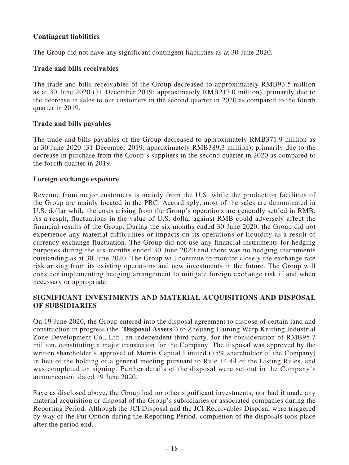# **Contingent liabilities**

The Group did not have any significant contingent liabilities as at 30 June 2020.

## **Trade and bills receivables**

The trade and bills receivables of the Group decreased to approximately RMB93.5 million as at 30 June 2020 (31 December 2019: approximately RMB217.0 million), primarily due to the decrease in sales to our customers in the second quarter in 2020 as compared to the fourth quarter in 2019.

### **Trade and bills payables**

The trade and bills payables of the Group decreased to approximately RMB371.9 million as at 30 June 2020 (31 December 2019: approximately RMB389.3 million), primarily due to the decrease in purchase from the Group's suppliers in the second quarter in 2020 as compared to the fourth quarter in 2019.

### **Foreign exchange exposure**

Revenue from major customers is mainly from the U.S. while the production facilities of the Group are mainly located in the PRC. Accordingly, most of the sales are denominated in U.S. dollar while the costs arising from the Group's operations are generally settled in RMB. As a result, fluctuations in the value of U.S. dollar against RMB could adversely affect the financial results of the Group. During the six months ended 30 June 2020, the Group did not experience any material difficulties or impacts on its operations or liquidity as a result of currency exchange fluctuation. The Group did not use any financial instruments for hedging purposes during the six months ended 30 June 2020 and there was no hedging instruments outstanding as at 30 June 2020. The Group will continue to monitor closely the exchange rate risk arising from its existing operations and new investments in the future. The Group will consider implementing hedging arrangement to mitigate foreign exchange risk if and when necessary or appropriate.

# **SIGNIFICANT INVESTMENTS AND MATERIAL ACQUISITIONS AND DISPOSAL OF SUBSIDIARIES**

On 19 June 2020, the Group entered into the disposal agreement to dispose of certain land and construction in progress (the "**Disposal Assets**") to Zhejiang Haining Warp Knitting Industrial Zone Development Co., Ltd., an independent third party, for the consideration of RMB95.7 million, constituting a major transaction for the Company. The disposal was approved by the written shareholder's approval of Morris Capital Limited (75% shareholder of the Company) in lieu of the holding of a general meeting pursuant to Rule 14.44 of the Listing Rules, and was completed on signing. Further details of the disposal were set out in the Company's announcement dated 19 June 2020.

Save as disclosed above, the Group had no other significant investments, nor had it made any material acquisition or disposal of the Group's subsidiaries or associated companies during the Reporting Period. Although the JCI Disposal and the JCI Receivables Disposal were triggered by way of the Put Option during the Reporting Period, completion of the disposals took place after the period end.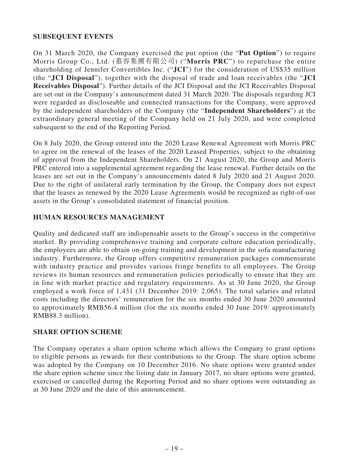# **SUBSEQUENT EVENTS**

On 31 March 2020, the Company exercised the put option (the "**Put Option**") to require Morris Group Co., Ltd. (慕容集團有限公司) ("**Morris PRC**") to repurchase the entire shareholding of Jennifer Convertibles Inc. ("**JCI**") for the consideration of US\$35 million (the "**JCI Disposal**"), together with the disposal of trade and loan receivables (the "**JCI Receivables Disposal**"). Further details of the JCI Disposal and the JCI Receivables Disposal are set out in the Company's announcement dated 31 March 2020. The disposals regarding JCI were regarded as discloseable and connected transactions for the Company, were approved by the independent shareholders of the Company (the "**Independent Shareholders**") at the extraordinary general meeting of the Company held on 21 July 2020, and were completed subsequent to the end of the Reporting Period.

On 8 July 2020, the Group entered into the 2020 Lease Renewal Agreement with Morris PRC to agree on the renewal of the leases of the 2020 Leased Properties, subject to the obtaining of approval from the Independent Shareholders. On 21 August 2020, the Group and Morris PRC entered into a supplemental agreement regarding the lease renewal. Further details on the leases are set out in the Company's announcements dated 8 July 2020 and 21 August 2020. Due to the right of unilateral early termination by the Group, the Company does not expect that the leases as renewed by the 2020 Lease Agreements would be recognized as right-of-use assets in the Group's consolidated statement of financial position.

### **HUMAN RESOURCES MANAGEMENT**

Quality and dedicated staff are indispensable assets to the Group's success in the competitive market. By providing comprehensive training and corporate culture education periodically, the employees are able to obtain on-going training and development in the sofa manufacturing industry. Furthermore, the Group offers competitive remuneration packages commensurate with industry practice and provides various fringe benefits to all employees. The Group reviews its human resources and remuneration policies periodically to ensure that they are in line with market practice and regulatory requirements. As at 30 June 2020, the Group employed a work force of 1,431 (31 December 2019: 2,065). The total salaries and related costs including the directors' remuneration for the six months ended 30 June 2020 amounted to approximately RMB56.4 million (for the six months ended 30 June 2019: approximately RMB88.3 million).

### **SHARE OPTION SCHEME**

The Company operates a share option scheme which allows the Company to grant options to eligible persons as rewards for their contributions to the Group. The share option scheme was adopted by the Company on 10 December 2016. No share options were granted under the share option scheme since the listing date in January 2017, no share options were granted, exercised or cancelled during the Reporting Period and no share options were outstanding as at 30 June 2020 and the date of this announcement.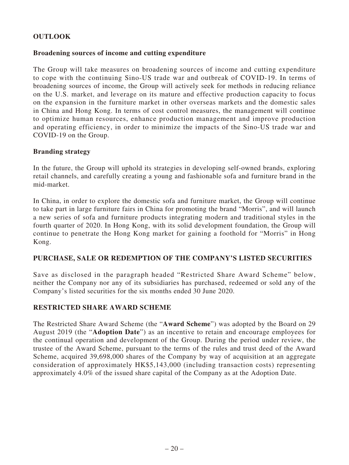# **OUTLOOK**

### **Broadening sources of income and cutting expenditure**

The Group will take measures on broadening sources of income and cutting expenditure to cope with the continuing Sino-US trade war and outbreak of COVID-19. In terms of broadening sources of income, the Group will actively seek for methods in reducing reliance on the U.S. market, and leverage on its mature and effective production capacity to focus on the expansion in the furniture market in other overseas markets and the domestic sales in China and Hong Kong. In terms of cost control measures, the management will continue to optimize human resources, enhance production management and improve production and operating efficiency, in order to minimize the impacts of the Sino-US trade war and COVID-19 on the Group.

### **Branding strategy**

In the future, the Group will uphold its strategies in developing self-owned brands, exploring retail channels, and carefully creating a young and fashionable sofa and furniture brand in the mid-market.

In China, in order to explore the domestic sofa and furniture market, the Group will continue to take part in large furniture fairs in China for promoting the brand "Morris", and will launch a new series of sofa and furniture products integrating modern and traditional styles in the fourth quarter of 2020. In Hong Kong, with its solid development foundation, the Group will continue to penetrate the Hong Kong market for gaining a foothold for "Morris" in Hong Kong.

### **PURCHASE, SALE OR REDEMPTION OF THE COMPANY'S LISTED SECURITIES**

Save as disclosed in the paragraph headed "Restricted Share Award Scheme" below, neither the Company nor any of its subsidiaries has purchased, redeemed or sold any of the Company's listed securities for the six months ended 30 June 2020.

# **RESTRICTED SHARE AWARD SCHEME**

The Restricted Share Award Scheme (the "**Award Scheme**") was adopted by the Board on 29 August 2019 (the "**Adoption Date**") as an incentive to retain and encourage employees for the continual operation and development of the Group. During the period under review, the trustee of the Award Scheme, pursuant to the terms of the rules and trust deed of the Award Scheme, acquired 39,698,000 shares of the Company by way of acquisition at an aggregate consideration of approximately HK\$5,143,000 (including transaction costs) representing approximately 4.0% of the issued share capital of the Company as at the Adoption Date.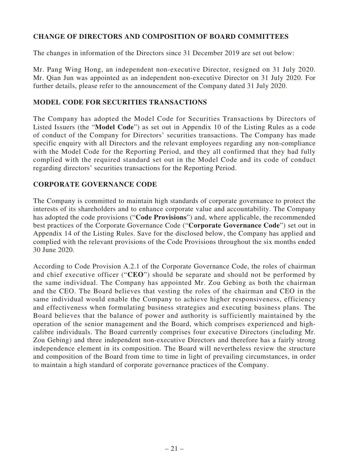# **CHANGE OF DIRECTORS AND COMPOSITION OF BOARD COMMITTEES**

The changes in information of the Directors since 31 December 2019 are set out below:

Mr. Pang Wing Hong, an independent non-executive Director, resigned on 31 July 2020. Mr. Qian Jun was appointed as an independent non-executive Director on 31 July 2020. For further details, please refer to the announcement of the Company dated 31 July 2020.

## **MODEL CODE FOR SECURITIES TRANSACTIONS**

The Company has adopted the Model Code for Securities Transactions by Directors of Listed Issuers (the "**Model Code**") as set out in Appendix 10 of the Listing Rules as a code of conduct of the Company for Directors' securities transactions. The Company has made specific enquiry with all Directors and the relevant employees regarding any non-compliance with the Model Code for the Reporting Period, and they all confirmed that they had fully complied with the required standard set out in the Model Code and its code of conduct regarding directors' securities transactions for the Reporting Period.

### **CORPORATE GOVERNANCE CODE**

The Company is committed to maintain high standards of corporate governance to protect the interests of its shareholders and to enhance corporate value and accountability. The Company has adopted the code provisions ("**Code Provisions**") and, where applicable, the recommended best practices of the Corporate Governance Code ("**Corporate Governance Code**") set out in Appendix 14 of the Listing Rules. Save for the disclosed below, the Company has applied and complied with the relevant provisions of the Code Provisions throughout the six months ended 30 June 2020.

According to Code Provision A.2.1 of the Corporate Governance Code, the roles of chairman and chief executive officer ("**CEO**") should be separate and should not be performed by the same individual. The Company has appointed Mr. Zou Gebing as both the chairman and the CEO. The Board believes that vesting the roles of the chairman and CEO in the same individual would enable the Company to achieve higher responsiveness, efficiency and effectiveness when formulating business strategies and executing business plans. The Board believes that the balance of power and authority is sufficiently maintained by the operation of the senior management and the Board, which comprises experienced and highcalibre individuals. The Board currently comprises four executive Directors (including Mr. Zou Gebing) and three independent non-executive Directors and therefore has a fairly strong independence element in its composition. The Board will nevertheless review the structure and composition of the Board from time to time in light of prevailing circumstances, in order to maintain a high standard of corporate governance practices of the Company.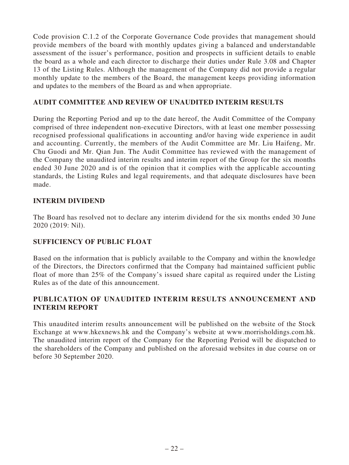Code provision C.1.2 of the Corporate Governance Code provides that management should provide members of the board with monthly updates giving a balanced and understandable assessment of the issuer's performance, position and prospects in sufficient details to enable the board as a whole and each director to discharge their duties under Rule 3.08 and Chapter 13 of the Listing Rules. Although the management of the Company did not provide a regular monthly update to the members of the Board, the management keeps providing information and updates to the members of the Board as and when appropriate.

## **AUDIT COMMITTEE AND REVIEW OF UNAUDITED INTERIM RESULTS**

During the Reporting Period and up to the date hereof, the Audit Committee of the Company comprised of three independent non-executive Directors, with at least one member possessing recognised professional qualifications in accounting and/or having wide experience in audit and accounting. Currently, the members of the Audit Committee are Mr. Liu Haifeng, Mr. Chu Guodi and Mr. Qian Jun. The Audit Committee has reviewed with the management of the Company the unaudited interim results and interim report of the Group for the six months ended 30 June 2020 and is of the opinion that it complies with the applicable accounting standards, the Listing Rules and legal requirements, and that adequate disclosures have been made.

### **INTERIM DIVIDEND**

The Board has resolved not to declare any interim dividend for the six months ended 30 June 2020 (2019: Nil).

# **SUFFICIENCY OF PUBLIC FLOAT**

Based on the information that is publicly available to the Company and within the knowledge of the Directors, the Directors confirmed that the Company had maintained sufficient public float of more than 25% of the Company's issued share capital as required under the Listing Rules as of the date of this announcement.

# **PUBLICATION OF UNAUDITED INTERIM RESULTS ANNOUNCEMENT AND INTERIM REPORT**

This unaudited interim results announcement will be published on the website of the Stock Exchange at www.hkexnews.hk and the Company's website at www.morrisholdings.com.hk. The unaudited interim report of the Company for the Reporting Period will be dispatched to the shareholders of the Company and published on the aforesaid websites in due course on or before 30 September 2020.